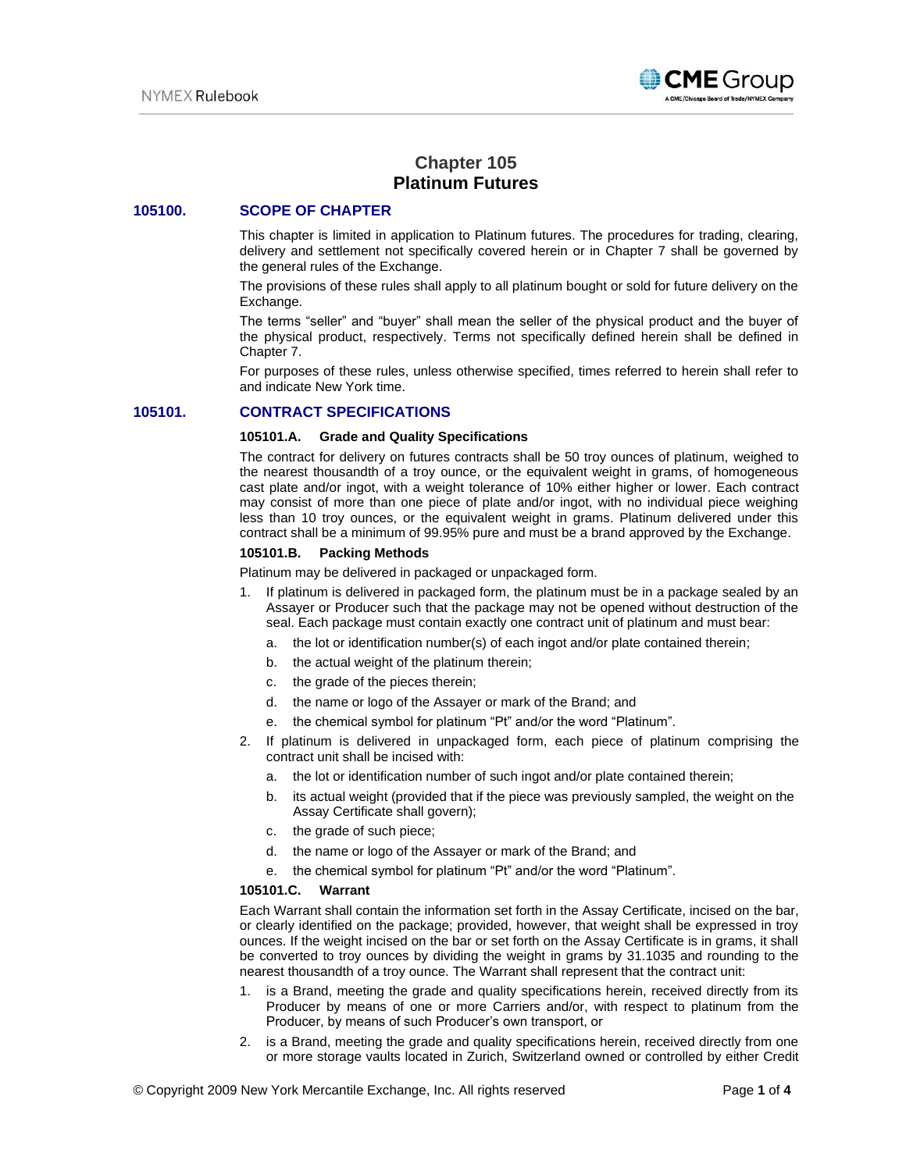

# **Chapter 105 Platinum Futures**

# **105100. SCOPE OF CHAPTER**

This chapter is limited in application to Platinum futures. The procedures for trading, clearing, delivery and settlement not specifically covered herein or in Chapter 7 shall be governed by the general rules of the Exchange.

The provisions of these rules shall apply to all platinum bought or sold for future delivery on the Exchange.

The terms "seller" and "buyer" shall mean the seller of the physical product and the buyer of the physical product, respectively. Terms not specifically defined herein shall be defined in Chapter 7.

For purposes of these rules, unless otherwise specified, times referred to herein shall refer to and indicate New York time.

# **105101. CONTRACT SPECIFICATIONS**

#### **105101.A. Grade and Quality Specifications**

The contract for delivery on futures contracts shall be 50 troy ounces of platinum, weighed to the nearest thousandth of a troy ounce, or the equivalent weight in grams, of homogeneous cast plate and/or ingot, with a weight tolerance of 10% either higher or lower. Each contract may consist of more than one piece of plate and/or ingot, with no individual piece weighing less than 10 troy ounces, or the equivalent weight in grams. Platinum delivered under this contract shall be a minimum of 99.95% pure and must be a brand approved by the Exchange.

#### **105101.B. Packing Methods**

Platinum may be delivered in packaged or unpackaged form.

- 1. If platinum is delivered in packaged form, the platinum must be in a package sealed by an Assayer or Producer such that the package may not be opened without destruction of the seal. Each package must contain exactly one contract unit of platinum and must bear:
	- a. the lot or identification number(s) of each ingot and/or plate contained therein;
	- b. the actual weight of the platinum therein;
	- c. the grade of the pieces therein;
	- d. the name or logo of the Assayer or mark of the Brand; and
	- e. the chemical symbol for platinum "Pt" and/or the word "Platinum".
- 2. If platinum is delivered in unpackaged form, each piece of platinum comprising the contract unit shall be incised with:
	- a. the lot or identification number of such ingot and/or plate contained therein;
	- b. its actual weight (provided that if the piece was previously sampled, the weight on the Assay Certificate shall govern);
	- c. the grade of such piece;
	- d. the name or logo of the Assayer or mark of the Brand; and
	- e. the chemical symbol for platinum "Pt" and/or the word "Platinum".

#### **105101.C. Warrant**

Each Warrant shall contain the information set forth in the Assay Certificate, incised on the bar, or clearly identified on the package; provided, however, that weight shall be expressed in troy ounces. If the weight incised on the bar or set forth on the Assay Certificate is in grams, it shall be converted to troy ounces by dividing the weight in grams by 31.1035 and rounding to the nearest thousandth of a troy ounce. The Warrant shall represent that the contract unit:

- 1. is a Brand, meeting the grade and quality specifications herein, received directly from its Producer by means of one or more Carriers and/or, with respect to platinum from the Producer, by means of such Producer's own transport, or
- 2. is a Brand, meeting the grade and quality specifications herein, received directly from one or more storage vaults located in Zurich, Switzerland owned or controlled by either Credit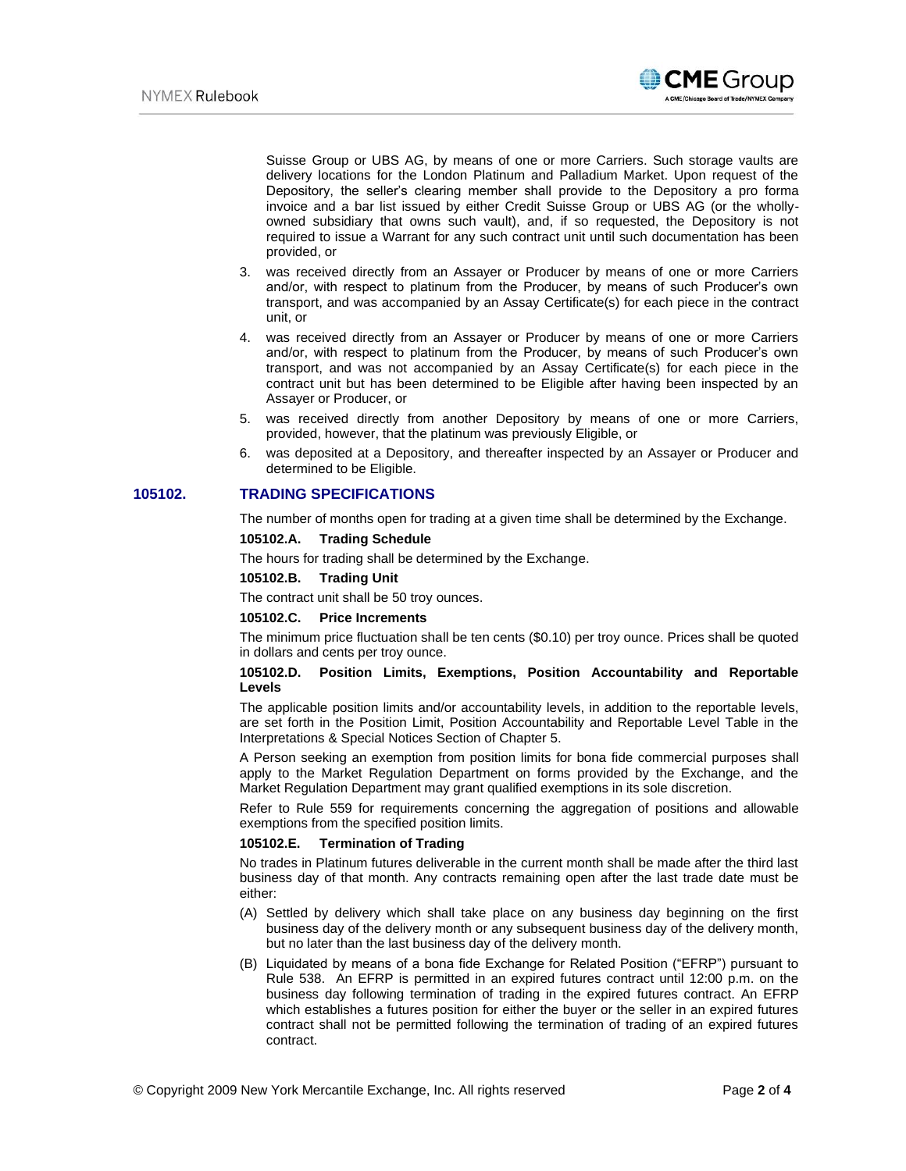

Suisse Group or UBS AG, by means of one or more Carriers. Such storage vaults are delivery locations for the London Platinum and Palladium Market. Upon request of the Depository, the seller's clearing member shall provide to the Depository a pro forma invoice and a bar list issued by either Credit Suisse Group or UBS AG (or the whollyowned subsidiary that owns such vault), and, if so requested, the Depository is not required to issue a Warrant for any such contract unit until such documentation has been provided, or

- 3. was received directly from an Assayer or Producer by means of one or more Carriers and/or, with respect to platinum from the Producer, by means of such Producer's own transport, and was accompanied by an Assay Certificate(s) for each piece in the contract unit, or
- 4. was received directly from an Assayer or Producer by means of one or more Carriers and/or, with respect to platinum from the Producer, by means of such Producer's own transport, and was not accompanied by an Assay Certificate(s) for each piece in the contract unit but has been determined to be Eligible after having been inspected by an Assayer or Producer, or
- 5. was received directly from another Depository by means of one or more Carriers, provided, however, that the platinum was previously Eligible, or
- 6. was deposited at a Depository, and thereafter inspected by an Assayer or Producer and determined to be Eligible.

# **105102. TRADING SPECIFICATIONS**

The number of months open for trading at a given time shall be determined by the Exchange.

### **105102.A. Trading Schedule**

The hours for trading shall be determined by the Exchange.

#### **105102.B. Trading Unit**

The contract unit shall be 50 troy ounces.

### **105102.C. Price Increments**

The minimum price fluctuation shall be ten cents (\$0.10) per troy ounce. Prices shall be quoted in dollars and cents per troy ounce.

#### **105102.D. Position Limits, Exemptions, Position Accountability and Reportable Levels**

The applicable position limits and/or accountability levels, in addition to the reportable levels, are set forth in the Position Limit, Position Accountability and Reportable Level Table in the Interpretations & Special Notices Section of Chapter 5.

A Person seeking an exemption from position limits for bona fide commercial purposes shall apply to the Market Regulation Department on forms provided by the Exchange, and the Market Regulation Department may grant qualified exemptions in its sole discretion.

Refer to Rule 559 for requirements concerning the aggregation of positions and allowable exemptions from the specified position limits.

#### **105102.E. Termination of Trading**

No trades in Platinum futures deliverable in the current month shall be made after the third last business day of that month. Any contracts remaining open after the last trade date must be either:

- (A) Settled by delivery which shall take place on any business day beginning on the first business day of the delivery month or any subsequent business day of the delivery month, but no later than the last business day of the delivery month.
- (B) Liquidated by means of a bona fide Exchange for Related Position ("EFRP") pursuant to Rule 538. An EFRP is permitted in an expired futures contract until 12:00 p.m. on the business day following termination of trading in the expired futures contract. An EFRP which establishes a futures position for either the buyer or the seller in an expired futures contract shall not be permitted following the termination of trading of an expired futures contract.